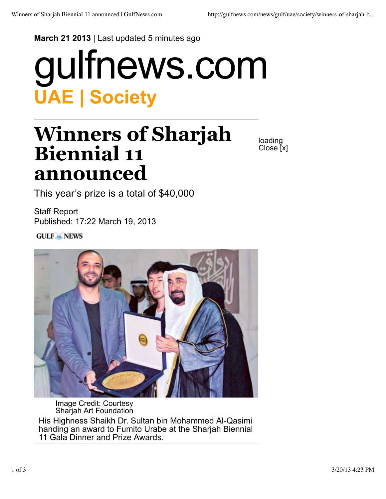## **March 21 2013** | Last updated 5 minutes ago

## **UAE | Society** gulfnews.com

## **Winners of Sharjah Biennial 11 announced**

loading Close [x]

This year's prize is a total of \$40,000

Staff Report Published: 17:22 March 19, 2013

**GULF ANEWS** 



Image Credit: Courtesy Sharjah Art Foundation His Highness Shaikh Dr. Sultan bin Mohammed Al-Qasimi handing an award to Fumito Urabe at the Sharjah Biennial 11 Gala Dinner and Prize Awards.

1 of 3 3/20/13 4:23 PM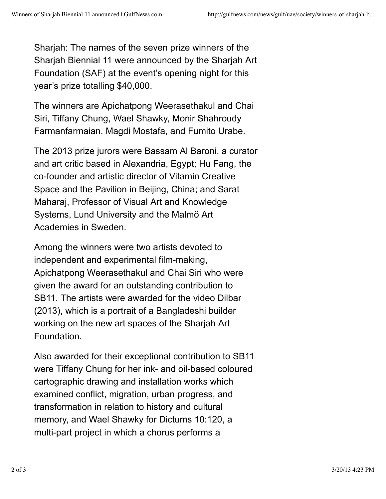Sharjah: The names of the seven prize winners of the Sharjah Biennial 11 were announced by the Sharjah Art Foundation (SAF) at the event's opening night for this year's prize totalling \$40,000.

The winners are Apichatpong Weerasethakul and Chai Siri, Tiffany Chung, Wael Shawky, Monir Shahroudy Farmanfarmaian, Magdi Mostafa, and Fumito Urabe.

The 2013 prize jurors were Bassam Al Baroni, a curator and art critic based in Alexandria, Egypt; Hu Fang, the co-founder and artistic director of Vitamin Creative Space and the Pavilion in Beijing, China; and Sarat Maharaj, Professor of Visual Art and Knowledge Systems, Lund University and the Malmö Art Academies in Sweden.

Among the winners were two artists devoted to independent and experimental film-making, Apichatpong Weerasethakul and Chai Siri who were given the award for an outstanding contribution to SB11. The artists were awarded for the video Dilbar (2013), which is a portrait of a Bangladeshi builder working on the new art spaces of the Sharjah Art Foundation.

Also awarded for their exceptional contribution to SB11 were Tiffany Chung for her ink- and oil-based coloured cartographic drawing and installation works which examined conflict, migration, urban progress, and transformation in relation to history and cultural memory, and Wael Shawky for Dictums 10:120, a multi-part project in which a chorus performs a